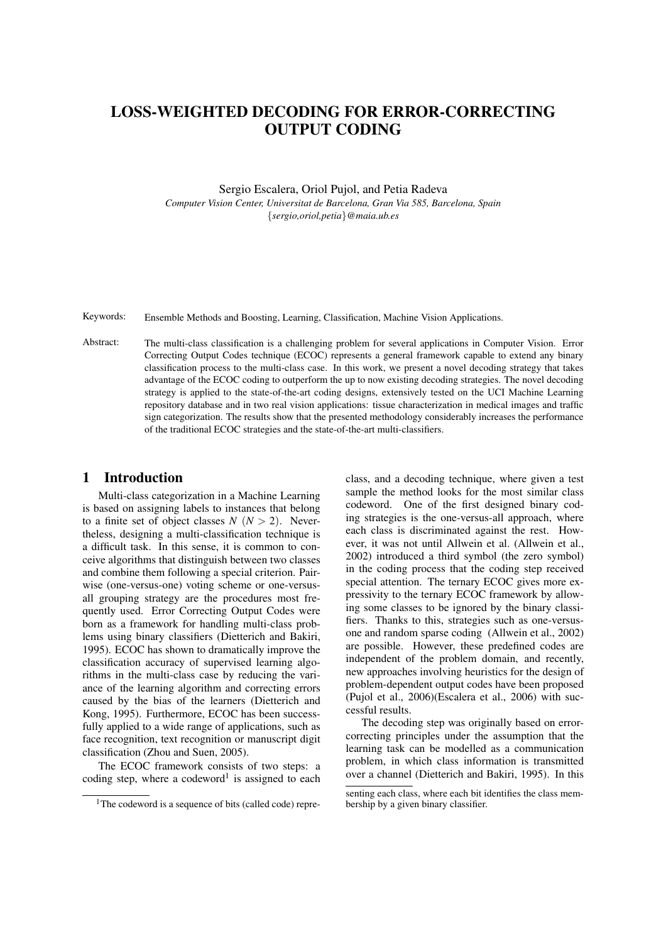# LOSS-WEIGHTED DECODING FOR ERROR-CORRECTING OUTPUT CODING

Sergio Escalera, Oriol Pujol, and Petia Radeva *Computer Vision Center, Universitat de Barcelona, Gran Via 585, Barcelona, Spain* {*sergio,oriol,petia*}*@maia.ub.es*

Keywords: Ensemble Methods and Boosting, Learning, Classification, Machine Vision Applications.

Abstract: The multi-class classification is a challenging problem for several applications in Computer Vision. Error Correcting Output Codes technique (ECOC) represents a general framework capable to extend any binary classification process to the multi-class case. In this work, we present a novel decoding strategy that takes advantage of the ECOC coding to outperform the up to now existing decoding strategies. The novel decoding strategy is applied to the state-of-the-art coding designs, extensively tested on the UCI Machine Learning repository database and in two real vision applications: tissue characterization in medical images and traffic sign categorization. The results show that the presented methodology considerably increases the performance of the traditional ECOC strategies and the state-of-the-art multi-classifiers.

#### 1 Introduction

Multi-class categorization in a Machine Learning is based on assigning labels to instances that belong to a finite set of object classes  $N$  ( $N > 2$ ). Nevertheless, designing a multi-classification technique is a difficult task. In this sense, it is common to conceive algorithms that distinguish between two classes and combine them following a special criterion. Pairwise (one-versus-one) voting scheme or one-versusall grouping strategy are the procedures most frequently used. Error Correcting Output Codes were born as a framework for handling multi-class problems using binary classifiers (Dietterich and Bakiri, 1995). ECOC has shown to dramatically improve the classification accuracy of supervised learning algorithms in the multi-class case by reducing the variance of the learning algorithm and correcting errors caused by the bias of the learners (Dietterich and Kong, 1995). Furthermore, ECOC has been successfully applied to a wide range of applications, such as face recognition, text recognition or manuscript digit classification (Zhou and Suen, 2005).

The ECOC framework consists of two steps: a coding step, where a codeword<sup>1</sup> is assigned to each

class, and a decoding technique, where given a test sample the method looks for the most similar class codeword. One of the first designed binary coding strategies is the one-versus-all approach, where each class is discriminated against the rest. However, it was not until Allwein et al. (Allwein et al., 2002) introduced a third symbol (the zero symbol) in the coding process that the coding step received special attention. The ternary ECOC gives more expressivity to the ternary ECOC framework by allowing some classes to be ignored by the binary classifiers. Thanks to this, strategies such as one-versusone and random sparse coding (Allwein et al., 2002) are possible. However, these predefined codes are independent of the problem domain, and recently, new approaches involving heuristics for the design of problem-dependent output codes have been proposed (Pujol et al., 2006)(Escalera et al., 2006) with successful results.

The decoding step was originally based on errorcorrecting principles under the assumption that the learning task can be modelled as a communication problem, in which class information is transmitted over a channel (Dietterich and Bakiri, 1995). In this

<sup>&</sup>lt;sup>1</sup>The codeword is a sequence of bits (called code) repre-

senting each class, where each bit identifies the class membership by a given binary classifier.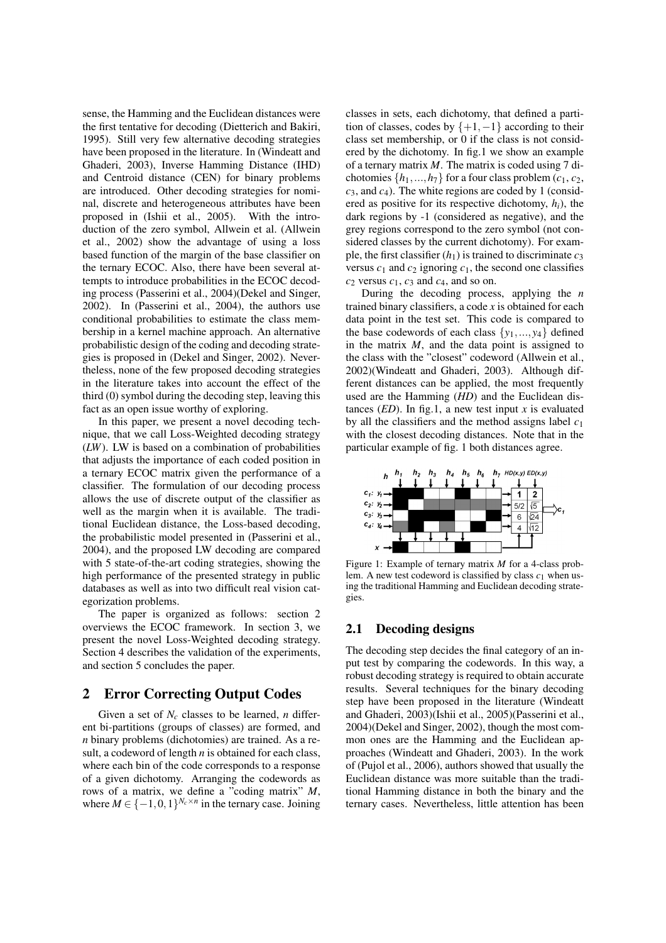sense, the Hamming and the Euclidean distances were the first tentative for decoding (Dietterich and Bakiri, 1995). Still very few alternative decoding strategies have been proposed in the literature. In (Windeatt and Ghaderi, 2003), Inverse Hamming Distance (IHD) and Centroid distance (CEN) for binary problems are introduced. Other decoding strategies for nominal, discrete and heterogeneous attributes have been proposed in (Ishii et al., 2005). With the introduction of the zero symbol, Allwein et al. (Allwein et al., 2002) show the advantage of using a loss based function of the margin of the base classifier on the ternary ECOC. Also, there have been several attempts to introduce probabilities in the ECOC decoding process (Passerini et al., 2004)(Dekel and Singer, 2002). In (Passerini et al., 2004), the authors use conditional probabilities to estimate the class membership in a kernel machine approach. An alternative probabilistic design of the coding and decoding strategies is proposed in (Dekel and Singer, 2002). Nevertheless, none of the few proposed decoding strategies in the literature takes into account the effect of the third (0) symbol during the decoding step, leaving this fact as an open issue worthy of exploring.

In this paper, we present a novel decoding technique, that we call Loss-Weighted decoding strategy (*LW*). LW is based on a combination of probabilities that adjusts the importance of each coded position in a ternary ECOC matrix given the performance of a classifier. The formulation of our decoding process allows the use of discrete output of the classifier as well as the margin when it is available. The traditional Euclidean distance, the Loss-based decoding, the probabilistic model presented in (Passerini et al., 2004), and the proposed LW decoding are compared with 5 state-of-the-art coding strategies, showing the high performance of the presented strategy in public databases as well as into two difficult real vision categorization problems.

The paper is organized as follows: section 2 overviews the ECOC framework. In section 3, we present the novel Loss-Weighted decoding strategy. Section 4 describes the validation of the experiments, and section 5 concludes the paper.

## 2 Error Correcting Output Codes

Given a set of  $N_c$  classes to be learned, *n* different bi-partitions (groups of classes) are formed, and *n* binary problems (dichotomies) are trained. As a result, a codeword of length *n* is obtained for each class, where each bin of the code corresponds to a response of a given dichotomy. Arranging the codewords as rows of a matrix, we define a "coding matrix" *M*, where  $M \in \{-1, 0, 1\}^{N_c \times n}$  in the ternary case. Joining

classes in sets, each dichotomy, that defined a partition of classes, codes by  $\{+1, -1\}$  according to their class set membership, or 0 if the class is not considered by the dichotomy. In fig.1 we show an example of a ternary matrix *M*. The matrix is coded using 7 dichotomies  $\{h_1, ..., h_7\}$  for a four class problem  $(c_1, c_2,$  $c_3$ , and  $c_4$ ). The white regions are coded by 1 (considered as positive for its respective dichotomy,  $h_i$ ), the dark regions by -1 (considered as negative), and the grey regions correspond to the zero symbol (not considered classes by the current dichotomy). For example, the first classifier  $(h_1)$  is trained to discriminate  $c_3$ versus  $c_1$  and  $c_2$  ignoring  $c_1$ , the second one classifies  $c_2$  versus  $c_1$ ,  $c_3$  and  $c_4$ , and so on.

During the decoding process, applying the *n* trained binary classifiers, a code *x* is obtained for each data point in the test set. This code is compared to the base codewords of each class  $\{y_1, \ldots, y_4\}$  defined in the matrix *M*, and the data point is assigned to the class with the "closest" codeword (Allwein et al., 2002)(Windeatt and Ghaderi, 2003). Although different distances can be applied, the most frequently used are the Hamming (*HD*) and the Euclidean distances  $(ED)$ . In fig.1, a new test input *x* is evaluated by all the classifiers and the method assigns label *c*<sup>1</sup> with the closest decoding distances. Note that in the particular example of fig. 1 both distances agree.



Figure 1: Example of ternary matrix *M* for a 4-class problem. A new test codeword is classified by class  $c_1$  when using the traditional Hamming and Euclidean decoding strategies.

### 2.1 Decoding designs

The decoding step decides the final category of an input test by comparing the codewords. In this way, a robust decoding strategy is required to obtain accurate results. Several techniques for the binary decoding step have been proposed in the literature (Windeatt and Ghaderi, 2003)(Ishii et al., 2005)(Passerini et al., 2004)(Dekel and Singer, 2002), though the most common ones are the Hamming and the Euclidean approaches (Windeatt and Ghaderi, 2003). In the work of (Pujol et al., 2006), authors showed that usually the Euclidean distance was more suitable than the traditional Hamming distance in both the binary and the ternary cases. Nevertheless, little attention has been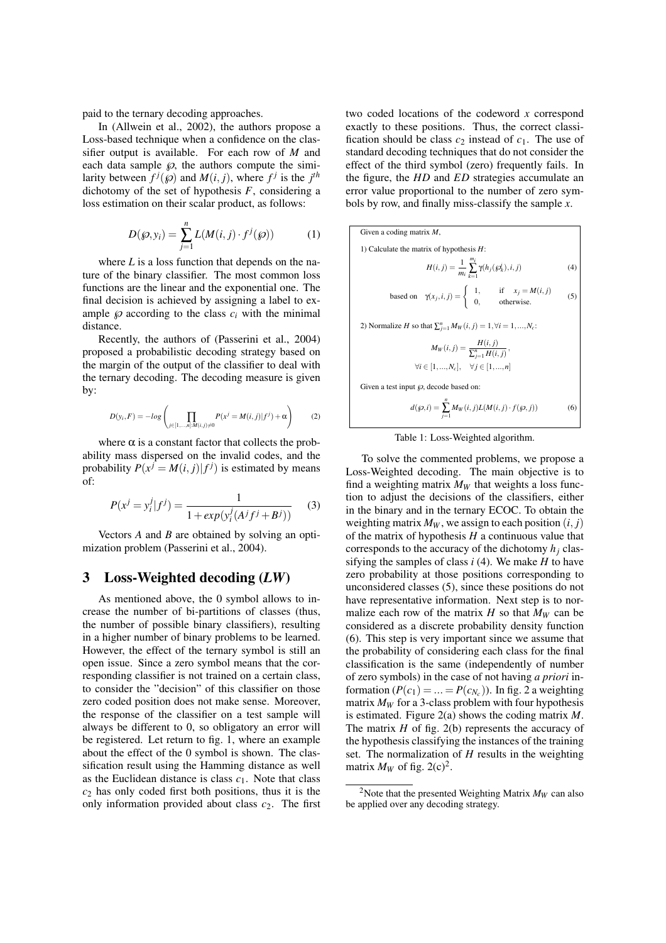paid to the ternary decoding approaches.

In (Allwein et al., 2002), the authors propose a Loss-based technique when a confidence on the classifier output is available. For each row of *M* and each data sample  $\wp$ , the authors compute the similarity between  $f^{j}(\mathcal{G})$  and  $M(i, j)$ , where  $f^{j}$  is the  $j^{th}$ dichotomy of the set of hypothesis *F*, considering a loss estimation on their scalar product, as follows:

$$
D(\wp, y_i) = \sum_{j=1}^{n} L(M(i, j) \cdot f^j(\wp))
$$
 (1)

where  $L$  is a loss function that depends on the nature of the binary classifier. The most common loss functions are the linear and the exponential one. The final decision is achieved by assigning a label to example  $\wp$  according to the class  $c_i$  with the minimal distance.

Recently, the authors of (Passerini et al., 2004) proposed a probabilistic decoding strategy based on the margin of the output of the classifier to deal with the ternary decoding. The decoding measure is given by:

$$
D(y_i, F) = -log\left(\prod_{j \in [1, ..., n]: M(i, j) \neq 0} P(x^j = M(i, j) | f^j) + \alpha\right)
$$
 (2)

where  $\alpha$  is a constant factor that collects the probability mass dispersed on the invalid codes, and the probability  $P(x^{\hat{j}} = M(i, j) | f^j)$  is estimated by means of:

$$
P(x^{j} = y_{i}^{j} | f^{j}) = \frac{1}{1 + exp(y_{i}^{j}(A^{j}f^{j} + B^{j}))}
$$
 (3)

Vectors *A* and *B* are obtained by solving an optimization problem (Passerini et al., 2004).

#### 3 Loss-Weighted decoding (*LW*)

As mentioned above, the 0 symbol allows to increase the number of bi-partitions of classes (thus, the number of possible binary classifiers), resulting in a higher number of binary problems to be learned. However, the effect of the ternary symbol is still an open issue. Since a zero symbol means that the corresponding classifier is not trained on a certain class, to consider the "decision" of this classifier on those zero coded position does not make sense. Moreover, the response of the classifier on a test sample will always be different to 0, so obligatory an error will be registered. Let return to fig. 1, where an example about the effect of the 0 symbol is shown. The classification result using the Hamming distance as well as the Euclidean distance is class  $c_1$ . Note that class  $c<sub>2</sub>$  has only coded first both positions, thus it is the only information provided about class  $c_2$ . The first two coded locations of the codeword *x* correspond exactly to these positions. Thus, the correct classification should be class  $c_2$  instead of  $c_1$ . The use of standard decoding techniques that do not consider the effect of the third symbol (zero) frequently fails. In the figure, the *HD* and *ED* strategies accumulate an error value proportional to the number of zero symbols by row, and finally miss-classify the sample *x*.

Given a coding matrix *M*,  
\n1) Calculate the matrix of hypothesis *H*:  
\n
$$
H(i, j) = \frac{1}{m_i} \sum_{k=1}^{m_i} \gamma(h_j(\mathcal{G}_k^j), i, j)
$$
\n(4)  
\nbased on  $\gamma(x_j, i, j) = \begin{cases} 1, & \text{if } x_j = M(i, j) \\ 0, & \text{otherwise.} \end{cases}$   
\n2) Normalize *H* so that  $\sum_{j=1}^n M_W(i, j) = 1, \forall i = 1, ..., N_c$ :  
\n
$$
M_W(i, j) = \frac{H(i, j)}{\sum_{j=1}^n H(i, j)},
$$

 $\forall i \in [1, ..., N_c], \quad \forall j \in [1, ..., n]$ 

Given a test input  $\wp$ , decode based on:

$$
d(\wp, i) = \sum_{j=1}^{n} M_W(i, j) L(M(i, j) \cdot f(\wp, j))
$$
 (6)

Table 1: Loss-Weighted algorithm.

To solve the commented problems, we propose a Loss-Weighted decoding. The main objective is to find a weighting matrix  $M_W$  that weights a loss function to adjust the decisions of the classifiers, either in the binary and in the ternary ECOC. To obtain the weighting matrix  $M_W$ , we assign to each position  $(i, j)$ of the matrix of hypothesis *H* a continuous value that corresponds to the accuracy of the dichotomy  $h_i$  classifying the samples of class *i* (4). We make *H* to have zero probability at those positions corresponding to unconsidered classes (5), since these positions do not have representative information. Next step is to normalize each row of the matrix  $H$  so that  $M_W$  can be considered as a discrete probability density function (6). This step is very important since we assume that the probability of considering each class for the final classification is the same (independently of number of zero symbols) in the case of not having *a priori* information  $(P(c_1) = ... = P(c_{N_c}))$ . In fig. 2 a weighting matrix  $M_W$  for a 3-class problem with four hypothesis is estimated. Figure 2(a) shows the coding matrix *M*. The matrix *H* of fig. 2(b) represents the accuracy of the hypothesis classifying the instances of the training set. The normalization of *H* results in the weighting matrix  $M_W$  of fig. 2(c)<sup>2</sup>.

<sup>&</sup>lt;sup>2</sup>Note that the presented Weighting Matrix  $M_W$  can also be applied over any decoding strategy.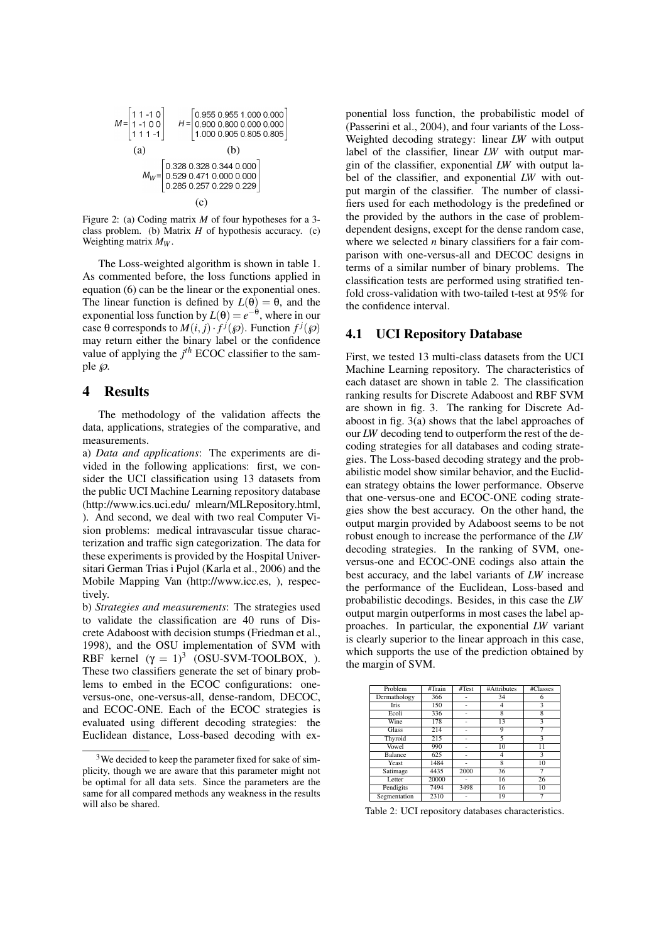

Figure 2: (a) Coding matrix *M* of four hypotheses for a 3 class problem. (b) Matrix *H* of hypothesis accuracy. (c) Weighting matrix *M<sup>W</sup>* .

The Loss-weighted algorithm is shown in table 1. As commented before, the loss functions applied in equation (6) can be the linear or the exponential ones. The linear function is defined by  $L(\theta) = \theta$ , and the exponential loss function by  $L(\theta) = e^{-\theta}$ , where in our case  $\theta$  corresponds to  $M(i, j) \cdot f^{(j)}(\mathcal{D})$ . Function  $f^{(j)}(\mathcal{D})$ may return either the binary label or the confidence value of applying the  $j<sup>th</sup>$  ECOC classifier to the sample  $\wp$ .

### 4 Results

The methodology of the validation affects the data, applications, strategies of the comparative, and measurements.

a) *Data and applications*: The experiments are divided in the following applications: first, we consider the UCI classification using 13 datasets from the public UCI Machine Learning repository database (http://www.ics.uci.edu/ mlearn/MLRepository.html, ). And second, we deal with two real Computer Vision problems: medical intravascular tissue characterization and traffic sign categorization. The data for these experiments is provided by the Hospital Universitari German Trias i Pujol (Karla et al., 2006) and the Mobile Mapping Van (http://www.icc.es, ), respectively.

b) *Strategies and measurements*: The strategies used to validate the classification are 40 runs of Discrete Adaboost with decision stumps (Friedman et al., 1998), and the OSU implementation of SVM with RBF kernel  $(\gamma = 1)^3$  (OSU-SVM-TOOLBOX, ). These two classifiers generate the set of binary problems to embed in the ECOC configurations: oneversus-one, one-versus-all, dense-random, DECOC, and ECOC-ONE. Each of the ECOC strategies is evaluated using different decoding strategies: the Euclidean distance, Loss-based decoding with ex-

ponential loss function, the probabilistic model of (Passerini et al., 2004), and four variants of the Loss-Weighted decoding strategy: linear *LW* with output label of the classifier, linear *LW* with output margin of the classifier, exponential *LW* with output label of the classifier, and exponential *LW* with output margin of the classifier. The number of classifiers used for each methodology is the predefined or the provided by the authors in the case of problemdependent designs, except for the dense random case, where we selected *n* binary classifiers for a fair comparison with one-versus-all and DECOC designs in terms of a similar number of binary problems. The classification tests are performed using stratified tenfold cross-validation with two-tailed t-test at 95% for the confidence interval.

#### 4.1 UCI Repository Database

First, we tested 13 multi-class datasets from the UCI Machine Learning repository. The characteristics of each dataset are shown in table 2. The classification ranking results for Discrete Adaboost and RBF SVM are shown in fig. 3. The ranking for Discrete Adaboost in fig. 3(a) shows that the label approaches of our *LW* decoding tend to outperform the rest of the decoding strategies for all databases and coding strategies. The Loss-based decoding strategy and the probabilistic model show similar behavior, and the Euclidean strategy obtains the lower performance. Observe that one-versus-one and ECOC-ONE coding strategies show the best accuracy. On the other hand, the output margin provided by Adaboost seems to be not robust enough to increase the performance of the *LW* decoding strategies. In the ranking of SVM, oneversus-one and ECOC-ONE codings also attain the best accuracy, and the label variants of *LW* increase the performance of the Euclidean, Loss-based and probabilistic decodings. Besides, in this case the *LW* output margin outperforms in most cases the label approaches. In particular, the exponential *LW* variant is clearly superior to the linear approach in this case, which supports the use of the prediction obtained by the margin of SVM.

| Problem        | #Train | #Test | #Attributes | #Classes |
|----------------|--------|-------|-------------|----------|
| Dermathology   | 366    |       | 34          | 6        |
| <b>Tris</b>    | 150    |       |             | 3        |
| Ecoli          | 336    |       | 8           | 8        |
| Wine           | 178    |       | 13          | 3        |
| <b>Glass</b>   | 214    |       | 9           |          |
| Thyroid        | 215    |       | 5           | 3        |
| Vowel          | 990    |       | 10          | 11       |
| <b>Balance</b> | 625    |       | 4           | 3        |
| Yeast          | 1484   |       | 8           | 10       |
| Satimage       | 4435   | 2000  | 36          | 7        |
| Letter         | 20000  |       | 16          | 26       |
| Pendigits      | 7494   | 3498  | 16          | 10       |
| Segmentation   | 2310   |       | 19          |          |

Table 2: UCI repository databases characteristics.

<sup>&</sup>lt;sup>3</sup>We decided to keep the parameter fixed for sake of simplicity, though we are aware that this parameter might not be optimal for all data sets. Since the parameters are the same for all compared methods any weakness in the results will also be shared.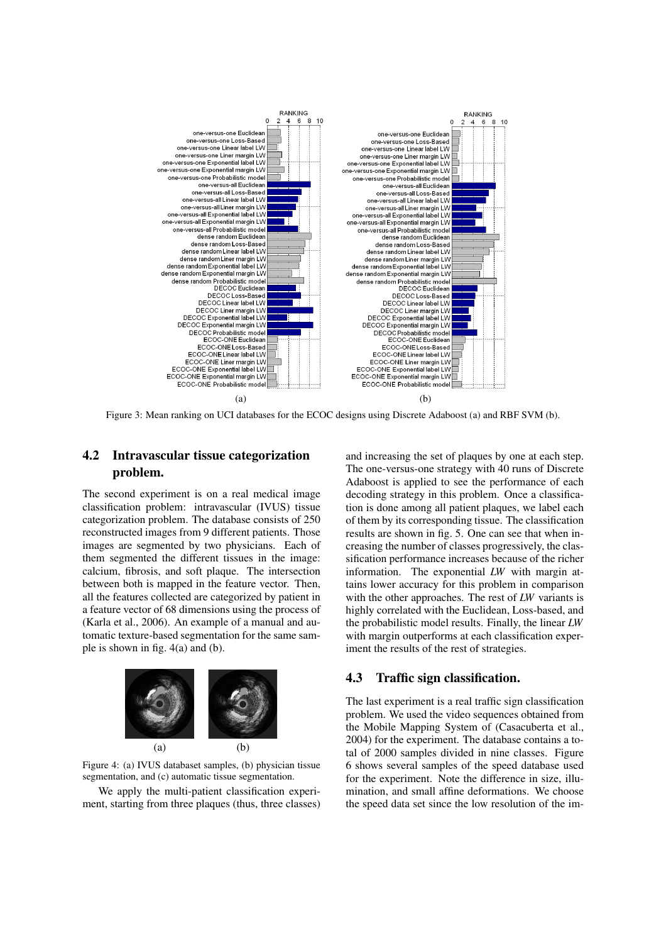

Figure 3: Mean ranking on UCI databases for the ECOC designs using Discrete Adaboost (a) and RBF SVM (b).

# 4.2 Intravascular tissue categorization problem.

The second experiment is on a real medical image classification problem: intravascular (IVUS) tissue categorization problem. The database consists of 250 reconstructed images from 9 different patients. Those images are segmented by two physicians. Each of them segmented the different tissues in the image: calcium, fibrosis, and soft plaque. The intersection between both is mapped in the feature vector. Then, all the features collected are categorized by patient in a feature vector of 68 dimensions using the process of (Karla et al., 2006). An example of a manual and automatic texture-based segmentation for the same sample is shown in fig. 4(a) and (b).



Figure 4: (a) IVUS databaset samples, (b) physician tissue segmentation, and (c) automatic tissue segmentation.

We apply the multi-patient classification experiment, starting from three plaques (thus, three classes)

and increasing the set of plaques by one at each step. The one-versus-one strategy with 40 runs of Discrete Adaboost is applied to see the performance of each decoding strategy in this problem. Once a classification is done among all patient plaques, we label each of them by its corresponding tissue. The classification results are shown in fig. 5. One can see that when increasing the number of classes progressively, the classification performance increases because of the richer information. The exponential *LW* with margin attains lower accuracy for this problem in comparison with the other approaches. The rest of *LW* variants is highly correlated with the Euclidean, Loss-based, and the probabilistic model results. Finally, the linear *LW* with margin outperforms at each classification experiment the results of the rest of strategies.

#### 4.3 Traffic sign classification.

The last experiment is a real traffic sign classification problem. We used the video sequences obtained from the Mobile Mapping System of (Casacuberta et al., 2004) for the experiment. The database contains a total of 2000 samples divided in nine classes. Figure 6 shows several samples of the speed database used for the experiment. Note the difference in size, illumination, and small affine deformations. We choose the speed data set since the low resolution of the im-